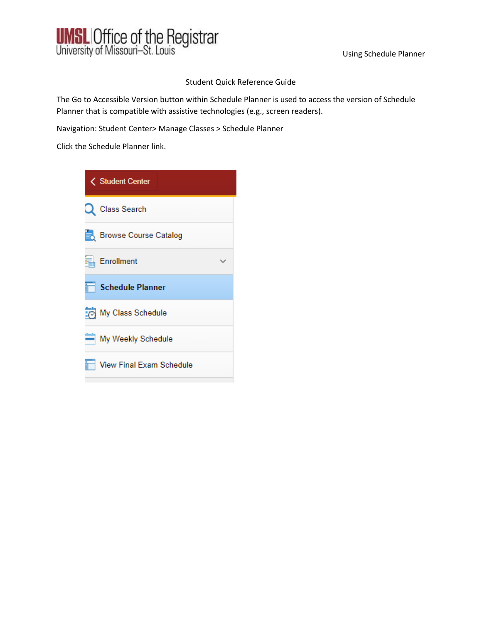

#### Student Quick Reference Guide

The Go to Accessible Version button within Schedule Planner is used to access the version of Schedule Planner that is compatible with assistive technologies (e.g., screen readers).

Navigation: Student Center> Manage Classes > Schedule Planner

Click the Schedule Planner link.

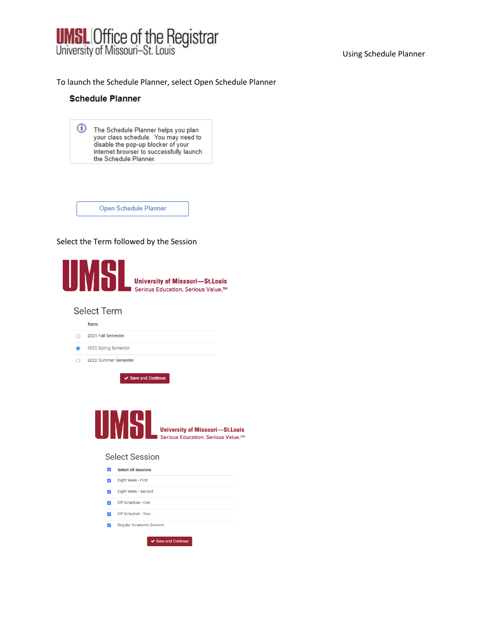

#### Using Schedule Planner

#### To launch the Schedule Planner, select Open Schedule Planner

#### **Schedule Planner**

| $\mathbf{u}$ | The Schedule Planner helps you plan<br>your class schedule. You may need to<br>disable the pop-up blocker of your<br>internet browser to successfully launch<br>the Schedule Planner. |
|--------------|---------------------------------------------------------------------------------------------------------------------------------------------------------------------------------------|
|              |                                                                                                                                                                                       |



#### Select the Term followed by the Session



#### **Select Term**



✔ Save and Continue



#### **Select Session**

| ◡ | <b>Select All Sessions</b> |
|---|----------------------------|
|   | Eight Week - First         |
|   | Eight Week - Second        |
|   | Off Schedule - One         |
|   | Off Schedule - Two         |
|   | Regular Academic Session   |
|   | $\vee$ Save and Continue   |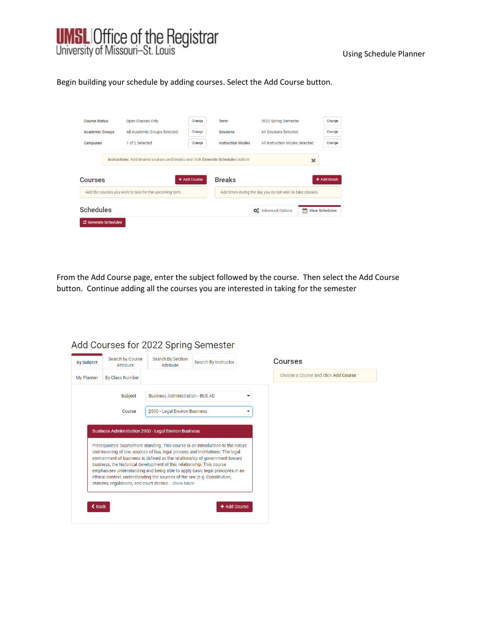

#### Using Schedule Planner

#### Begin building your schedule by adding courses. Select the Add Course button.

| <b>Course Status</b>        | Open Classes Only                                                                 | Change       | <b>Term</b>              | 2022 Spring Semester                                      |   | Change                |
|-----------------------------|-----------------------------------------------------------------------------------|--------------|--------------------------|-----------------------------------------------------------|---|-----------------------|
| <b>Academic Groups</b>      | All Academic Groups Selected                                                      | Change       | <b>Sessions</b>          | All Sessions Selected                                     |   | Change                |
| <b>Campuses</b>             | 1 of 2 Selected                                                                   | Change       | <b>Instruction Modes</b> | All Instruction Modes Selected                            |   | Change                |
| Courses                     | Instructions: Add desired courses and breaks and click Generate Schedules button! | + Add Course | <b>Breaks</b>            |                                                           | × | + Add Break           |
|                             | Add the courses you wish to take for the upcoming term.                           |              |                          | Add times during the day you do not wish to take classes. |   |                       |
| <b>Schedules</b>            |                                                                                   |              |                          | <b>CE</b> Advanced Options                                | m | <b>View Schedules</b> |
| <b>2</b> Generate Schedules |                                                                                   |              |                          |                                                           |   |                       |

From the Add Course page, enter the subject followed by the course. Then select the Add Course button. Continue adding all the courses you are interested in taking for the semester

| <b>By Subject</b> | Search by Course<br>Attribute | Search By Section<br>Attribute                                                                                                                          | Search By Instructor                                                                                                                                         | <b>Courses</b>                       |
|-------------------|-------------------------------|---------------------------------------------------------------------------------------------------------------------------------------------------------|--------------------------------------------------------------------------------------------------------------------------------------------------------------|--------------------------------------|
| My Planner        | <b>By Class Number</b>        |                                                                                                                                                         |                                                                                                                                                              | Choose a Course and click Add Course |
|                   | Subject                       | <b>Business Administration - BUS AD</b>                                                                                                                 |                                                                                                                                                              |                                      |
|                   | <b>Course</b>                 | 2900 - Legal Environ Business                                                                                                                           | v                                                                                                                                                            |                                      |
|                   |                               | business, the historical development of this relationship. This course<br>emphasizes understanding and being able to apply basic legal principles in an | and meaning of law, sources of law, legal process and institutions. The legal<br>environment of business is defined as the relationship of government toward |                                      |

## Add Courses for 2022 Spring Semester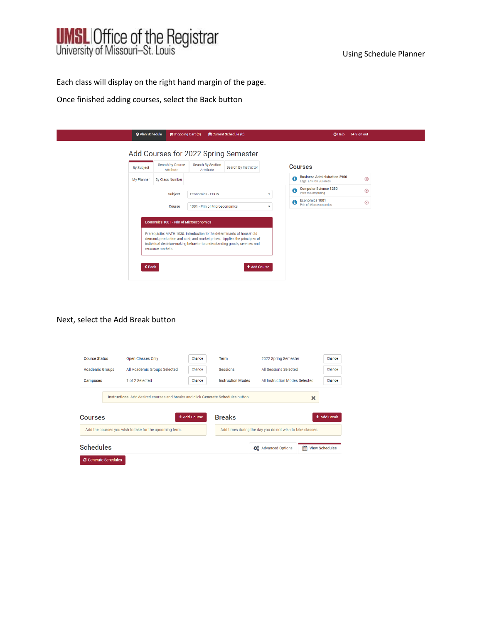

Each class will display on the right hand margin of the page.

Once finished adding courses, select the Back button

| <b>By Subject</b> | Search by Course<br>Attribute                                | Search By Section<br>Attribute                                         | Search By Instructor                                                                                                                                                  | <b>Courses</b>                                                            |               |
|-------------------|--------------------------------------------------------------|------------------------------------------------------------------------|-----------------------------------------------------------------------------------------------------------------------------------------------------------------------|---------------------------------------------------------------------------|---------------|
| My Planner        | By Class Number                                              |                                                                        |                                                                                                                                                                       | <b>Business Administration 2900</b><br>➊<br><b>Legal Environ Business</b> | $\circledR$   |
|                   | Subject                                                      | <b>Economics - ECON</b>                                                |                                                                                                                                                                       | <b>Computer Science 1250</b><br>$\mathbf 6$<br>Intro to Computing         | $\circledR$   |
|                   | Course                                                       | 1001 - Prin of Microeconomics                                          | ۰                                                                                                                                                                     | Economics 1001<br>A<br><b>Prin of Microeconomics</b>                      | $\circledast$ |
| $\triangle$ Back  | Economics 1001 - Prin of Microeconomics<br>resource markets. | Prerequisite: MATH 1030. Introduction to the determinants of household | demand, production and cost, and market prices. Applies the principles of<br>individual decision-making behavior to understanding goods, services and<br>+ Add Course |                                                                           |               |

#### Next, select the Add Break button

| <b>Course Status</b>        | Open Classes Only                                                                                                                      | Change | Term                     | 2022 Spring Semester                                      |   | Change                |  |  |
|-----------------------------|----------------------------------------------------------------------------------------------------------------------------------------|--------|--------------------------|-----------------------------------------------------------|---|-----------------------|--|--|
| <b>Academic Groups</b>      | All Academic Groups Selected                                                                                                           | Change | <b>Sessions</b>          | All Sessions Selected                                     |   | Change                |  |  |
| Campuses                    | 1 of 2 Selected                                                                                                                        | Change | <b>Instruction Modes</b> | All Instruction Modes Selected                            |   | Change                |  |  |
| Courses                     | Instructions: Add desired courses and breaks and click Generate Schedules button!<br>×<br><b>Breaks</b><br>+ Add Course<br>+ Add Break |        |                          |                                                           |   |                       |  |  |
|                             | Add the courses you wish to take for the upcoming term.                                                                                |        |                          | Add times during the day you do not wish to take classes. |   |                       |  |  |
| <b>Schedules</b>            |                                                                                                                                        |        |                          | <b>C</b> Advanced Options                                 | m | <b>View Schedules</b> |  |  |
| <b>2</b> Generate Schedules |                                                                                                                                        |        |                          |                                                           |   |                       |  |  |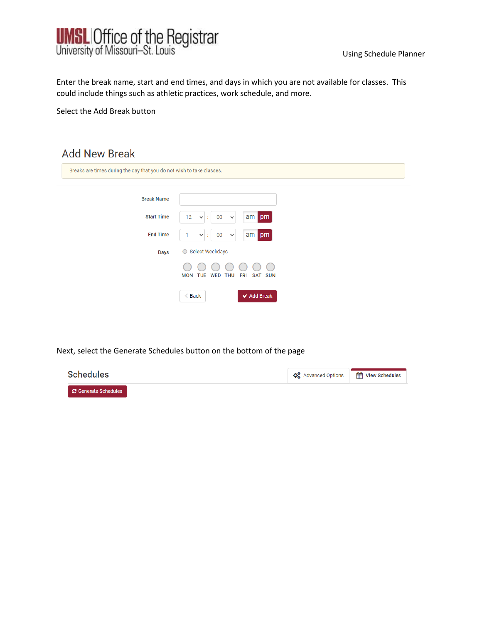

Enter the break name, start and end times, and days in which you are not available for classes. This could include things such as athletic practices, work schedule, and more.

Select the Add Break button

## **Add New Break**

| Breaks are times during the day that you do not wish to take classes. |                                                                        |  |
|-----------------------------------------------------------------------|------------------------------------------------------------------------|--|
| <b>Break Name</b>                                                     |                                                                        |  |
| <b>Start Time</b>                                                     | am pm<br>12<br>00<br>$\checkmark$<br>$\checkmark$<br>×                 |  |
| <b>End Time</b>                                                       | am pm<br>00<br>$\checkmark$<br>$\checkmark$<br>÷                       |  |
| <b>Days</b>                                                           | ○ Select Weekdays                                                      |  |
|                                                                       | <b>MON TUE</b><br><b>THU</b><br>WED<br><b>FRI</b><br>SAT<br><b>SUN</b> |  |
|                                                                       | ◆ Add Break<br>$\triangle$ Back                                        |  |

Next, select the Generate Schedules button on the bottom of the page

| <b>Schedules</b>       | $\mathbf{\ddot{Q}_8^B}$ Advanced Options | View Schedules |
|------------------------|------------------------------------------|----------------|
| ■ ○ Generate Schedules |                                          |                |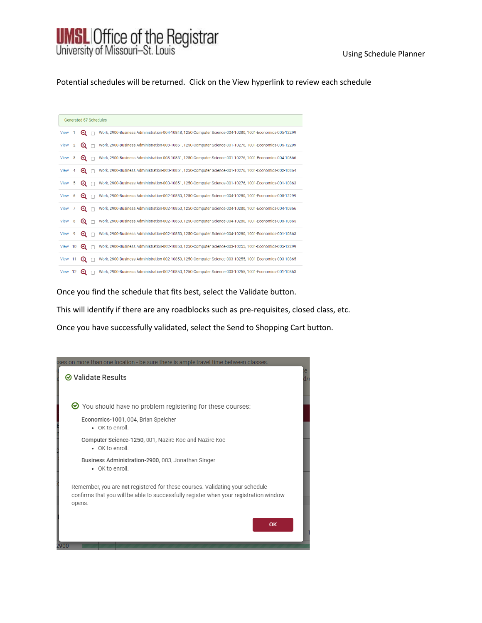# **UMSL Office of the Registrar**<br>University of Missouri-St. Louis

#### Using Schedule Planner

Potential schedules will be returned. Click on the View hyperlink to review each schedule

|             |    |                                 | <b>Generated 57 Schedules</b>                                                                           |
|-------------|----|---------------------------------|---------------------------------------------------------------------------------------------------------|
|             |    |                                 |                                                                                                         |
| View        |    | Θ                               | Work, 2900-Business Administration-004-10848, 1250-Computer Science-004-10280, 1001-Economics-005-12299 |
| View        | 2  | $^\circledR$                    | Work, 2900-Business Administration-003-10851, 1250-Computer Science-001-10276, 1001-Economics-005-12299 |
| <b>View</b> | 3  | $^{\circ}$                      | Work, 2900-Business Administration-003-10851, 1250-Computer Science-001-10276, 1001-Economics-004-10866 |
| <b>View</b> | 4  | $^\circledR$                    | Work, 2900-Business Administration-003-10851, 1250-Computer Science-001-10276, 1001-Economics-002-10864 |
| <b>View</b> | 5  | ⊕                               | Work, 2900-Business Administration-003-10851, 1250-Computer Science-001-10276, 1001-Economics-001-10863 |
| <b>View</b> | 6  | ⊕                               | Work, 2900-Business Administration-002-10850, 1250-Computer Science-004-10280, 1001-Economics-005-12299 |
| View        | 7  | Q                               | Work, 2900-Business Administration-002-10850, 1250-Computer Science-004-10280, 1001-Economics-004-10866 |
| View        | 8  | $\bm{\mathsf{\Theta}}$          | Work, 2900-Business Administration-002-10850, 1250-Computer Science-004-10280, 1001-Economics-003-10865 |
| View        | -9 | $\bm{\mathsf{\scriptstyle{Q}}}$ | Work, 2900-Business Administration-002-10850, 1250-Computer Science-004-10280, 1001-Economics-001-10863 |
| View 10     |    | $\bm{\Theta}$                   | Work, 2900-Business Administration-002-10850, 1250-Computer Science-003-10255, 1001-Economics-005-12299 |
| View 11     |    | $\bm{\Theta}$                   | Work, 2900-Business Administration-002-10850, 1250-Computer Science-003-10255, 1001-Economics-003-10865 |
| View 12     |    | ⊕                               | Work, 2900-Business Administration-002-10850, 1250-Computer Science-003-10255, 1001-Economics-001-10863 |

Once you find the schedule that fits best, select the Validate button.

This will identify if there are any roadblocks such as pre-requisites, closed class, etc.

Once you have successfully validated, select the Send to Shopping Cart button.

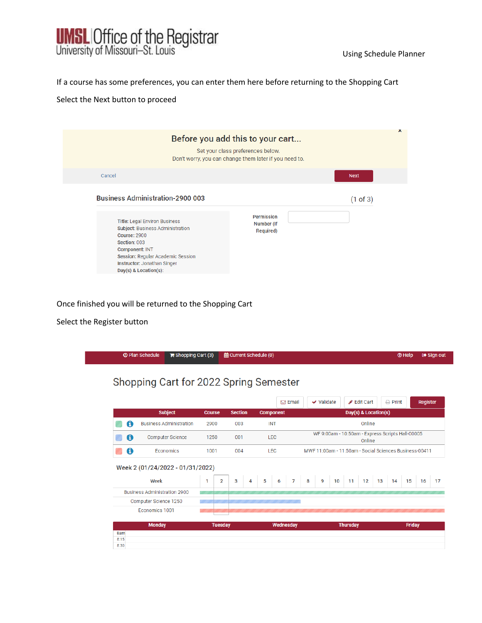

If a course has some preferences, you can enter them here before returning to the Shopping Cart

#### Select the Next button to proceed

| ᄎ<br>Before you add this to your cart<br>Set your class preferences below.<br>Don't worry, you can change them later if you need to.                                                                                                                                            |                                              |             |  |  |  |  |
|---------------------------------------------------------------------------------------------------------------------------------------------------------------------------------------------------------------------------------------------------------------------------------|----------------------------------------------|-------------|--|--|--|--|
| Cancel                                                                                                                                                                                                                                                                          |                                              | <b>Next</b> |  |  |  |  |
| <b>Business Administration-2900 003</b><br><b>Title: Legal Environ Business</b><br>Subject: Business Administration<br>Course: 2900<br>Section: 003<br><b>Component: INT</b><br>Session: Regular Academic Session<br>Instructor: Jonathan Singer<br>$Day(s)$ & Location $(s)$ : | <b>Permission</b><br>Number (If<br>Required) | (1 of 3)    |  |  |  |  |

## Once finished you will be returned to the Shopping Cart

#### Select the Register button

|             | <b>O Plan Schedule</b><br>$\blacktriangleright$ Shopping Cart (3)               |                                | 論 Current Schedule (0) |                 |                                                        |                                                            | <b>T</b> Help   | <b>■ Sign out</b> |
|-------------|---------------------------------------------------------------------------------|--------------------------------|------------------------|-----------------|--------------------------------------------------------|------------------------------------------------------------|-----------------|-------------------|
|             | Shopping Cart for 2022 Spring Semester                                          |                                |                        |                 |                                                        |                                                            |                 |                   |
|             |                                                                                 |                                |                        | $\boxdot$ Email | $\vee$ Validate                                        | Edit Cart                                                  | $\ominus$ Print | Register          |
|             | <b>Subject</b>                                                                  | <b>Course</b>                  | <b>Section</b>         | Component       |                                                        | Day(s) & Location(s)                                       |                 |                   |
| A           | <b>Business Administration</b>                                                  | 2900                           | 003                    | <b>INT</b>      |                                                        | Online                                                     |                 |                   |
| 6           | <b>Computer Science</b>                                                         | 1250                           | 001                    | <b>LEC</b>      |                                                        | WF 9:00am - 10:50am - Express Scripts Hall-00005<br>Online |                 |                   |
| 0           | Economics                                                                       | 1001                           | 004                    | <b>LEC</b>      | MWF 11:00am - 11:50am - Social Sciences Business-00411 |                                                            |                 |                   |
|             | Week 2 (01/24/2022 - 01/31/2022)<br>Week<br><b>Business Administration 2900</b> | $\overline{2}$<br>$\mathbf{1}$ | 3<br>4                 | 7<br>5<br>6     | 9<br>8<br>10                                           | 11<br>12                                                   | 13<br>15<br>14  | 16                |
|             | Computer Science 1250                                                           |                                |                        |                 |                                                        |                                                            |                 |                   |
|             | Economics 1001                                                                  |                                |                        |                 |                                                        |                                                            |                 |                   |
|             | <b>Monday</b>                                                                   | <b>Tuesday</b>                 |                        | Wednesday       |                                                        | <b>Thursday</b>                                            |                 | <b>Friday</b>     |
| 8am<br>8:15 |                                                                                 |                                |                        |                 |                                                        |                                                            |                 |                   |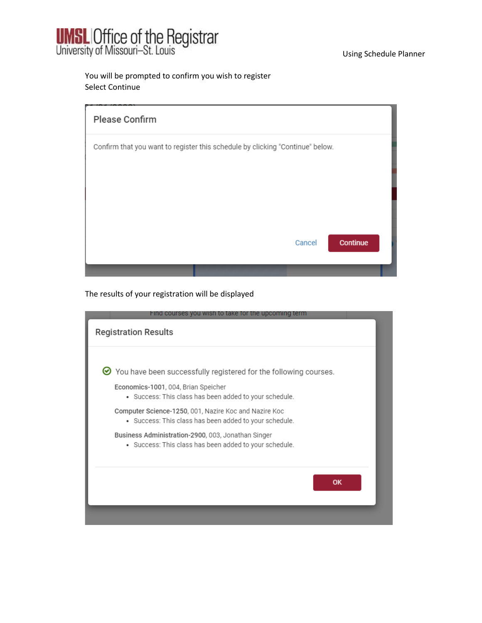

Using Schedule Planner

## You will be prompted to confirm you wish to register Select Continue

| Please Confirm                                                                |        |          |
|-------------------------------------------------------------------------------|--------|----------|
| Confirm that you want to register this schedule by clicking "Continue" below. |        |          |
|                                                                               |        |          |
|                                                                               |        |          |
|                                                                               |        |          |
|                                                                               | Cancel | Continue |
|                                                                               |        |          |

## The results of your registration will be displayed

| Find courses you wish to take for the upcoming term                                                             |
|-----------------------------------------------------------------------------------------------------------------|
| <b>Registration Results</b>                                                                                     |
| $\bullet$ You have been successfully registered for the following courses.                                      |
| Economics-1001, 004, Brian Speicher<br>• Success: This class has been added to your schedule.                   |
| Computer Science-1250, 001, Nazire Koc and Nazire Koc<br>• Success: This class has been added to your schedule. |
| Business Administration-2900, 003, Jonathan Singer<br>• Success: This class has been added to your schedule.    |
| OK                                                                                                              |
|                                                                                                                 |
|                                                                                                                 |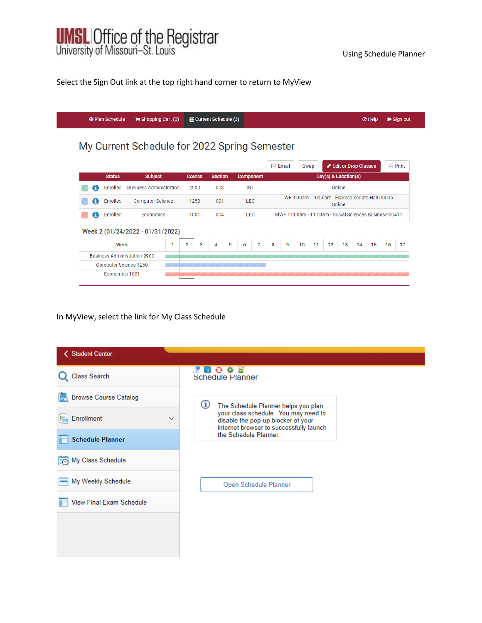

### Select the Sign Out link at the top right hand corner to return to MyView

|                |                                     | <b>O Plan Schedule</b> | Shopping Cart (0)                            |      |                |     | 論 Current Schedule (3) |     |     |                                                        |   |                                                            |    |      |                   |                      |    | <b>O</b> Help |    | <b>■ Sign out</b> |
|----------------|-------------------------------------|------------------------|----------------------------------------------|------|----------------|-----|------------------------|-----|-----|--------------------------------------------------------|---|------------------------------------------------------------|----|------|-------------------|----------------------|----|---------------|----|-------------------|
|                |                                     |                        | My Current Schedule for 2022 Spring Semester |      |                |     |                        |     |     |                                                        |   |                                                            |    |      |                   |                      |    |               |    |                   |
|                |                                     |                        |                                              |      |                |     |                        |     |     |                                                        |   | $\boxdot$ Email                                            |    | Swap |                   | Edit or Drop Classes |    |               |    | $\bigoplus$ Print |
|                |                                     | <b>Status</b>          | <b>Subject</b>                               |      | <b>Course</b>  |     | <b>Section</b>         |     |     | <b>Component</b>                                       |   |                                                            |    |      |                   | Day(s) & Location(s) |    |               |    |                   |
|                |                                     | Enrolled               | <b>Business Administration</b>               |      | 2900           |     | 003                    |     | INT |                                                        |   | Online                                                     |    |      |                   |                      |    |               |    |                   |
|                | A                                   | Enrolled               | <b>Computer Science</b>                      |      | 1250           |     | 001                    |     |     | <b>LEC</b>                                             |   | WF 9:00am - 10:50am - Express Scripts Hall-00005<br>Online |    |      |                   |                      |    |               |    |                   |
|                | A                                   | Enrolled               | <b>Fconomics</b>                             | 1001 |                | 004 |                        | LEC |     | MWE 11:00am - 11:50am - Social Sciences Business-00411 |   |                                                            |    |      |                   |                      |    |               |    |                   |
|                |                                     |                        | Week 2 (01/24/2022 - 01/31/2022)             |      |                |     |                        |     |     |                                                        |   |                                                            |    |      |                   |                      |    |               |    |                   |
|                |                                     | Week                   |                                              | 1    | $\overline{2}$ | 3   | 4                      | 5   | 6   | $\overline{7}$                                         | 8 | 9                                                          | 10 | 11   | $12 \overline{ }$ | 13                   | 14 | 15            | 16 | 17                |
|                | <b>Business Administration 2900</b> |                        |                                              |      |                |     |                        |     |     |                                                        |   |                                                            |    |      |                   |                      |    |               |    |                   |
|                | Computer Science 1250               |                        |                                              |      |                |     |                        |     |     |                                                        |   |                                                            |    |      |                   |                      |    |               |    |                   |
| Economics 1001 |                                     |                        |                                              |      |                |     |                        |     |     |                                                        |   |                                                            |    |      |                   |                      |    |               |    |                   |

## In MyView, select the link for My Class Schedule

| < Student Center                  |                                                                                                                       |
|-----------------------------------|-----------------------------------------------------------------------------------------------------------------------|
| Class Search                      | $\bullet$ motor<br>Schedule Planner                                                                                   |
| <b>Browse Course Catalog</b><br>辰 | ⊕<br>The Schedule Planner helps you plan                                                                              |
| Enrollment<br>$\checkmark$        | your class schedule. You may need to<br>disable the pop-up blocker of your<br>internet browser to successfully launch |
| <b>Schedule Planner</b>           | the Schedule Planner.                                                                                                 |
| My Class Schedule<br>$\Box$       |                                                                                                                       |
| My Weekly Schedule                | Open Schedule Planner                                                                                                 |
| View Final Exam Schedule          |                                                                                                                       |
|                                   |                                                                                                                       |
|                                   |                                                                                                                       |